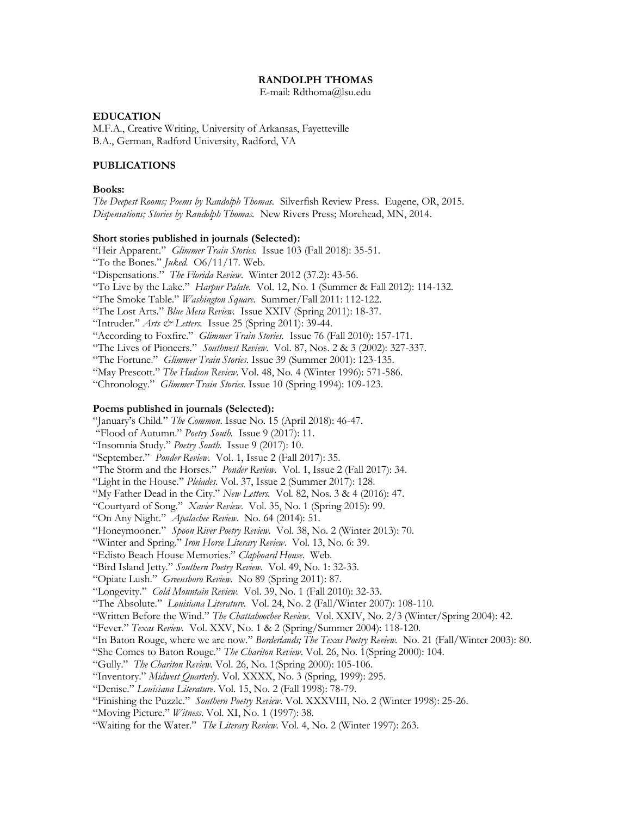### **RANDOLPH THOMAS**

E-mail: [Rdthoma@lsu.edu](mailto:Rdthoma@lsu.edu)

#### **EDUCATION**

M.F.A., Creative Writing, University of Arkansas, Fayetteville B.A., German, Radford University, Radford, VA

### **PUBLICATIONS**

#### **Books:**

*The Deepest Rooms; Poems by Randolph Thomas.* Silverfish Review Press. Eugene, OR, 2015. *Dispensations; Stories by Randolph Thomas.* New Rivers Press; Morehead, MN, 2014.

#### **Short stories published in journals (Selected):**

"Heir Apparent." *Glimmer Train Stories.* Issue 103 (Fall 2018): 35-51. "To the Bones." *Juked*. O6/11/17. Web. "Dispensations." *The Florida Review*. Winter 2012 (37.2): 43-56. "To Live by the Lake." *Harpur Palate.* Vol. 12, No. 1 (Summer & Fall 2012): 114-132. "The Smoke Table." *Washington Square.* Summer/Fall 2011: 112-122. "The Lost Arts." *Blue Mesa Review.* Issue XXIV (Spring 2011): 18-37. "Intruder." *Arts & Letters.* Issue 25 (Spring 2011): 39-44. "According to Foxfire." *Glimmer Train Stories.* Issue 76 (Fall 2010): 157-171. "The Lives of Pioneers." *Southwest Review*. Vol. 87, Nos. 2 & 3 (2002): 327-337. "The Fortune." *Glimmer Train Stories*. Issue 39 (Summer 2001): 123-135. "May Prescott." *The Hudson Review*. Vol. 48, No. 4 (Winter 1996): 571-586. "Chronology." *Glimmer Train Stories*. Issue 10 (Spring 1994): 109-123. **Poems published in journals (Selected):** "January's Child." *The Common*. Issue No. 15 (April 2018): 46-47. "Flood of Autumn." *Poetry South.* Issue 9 (2017): 11. "Insomnia Study." *Poetry South.* Issue 9 (2017): 10. "September." *Ponder Review.* Vol. 1, Issue 2 (Fall 2017): 35. "The Storm and the Horses." *Ponder Review.* Vol. 1, Issue 2 (Fall 2017): 34. "Light in the House." *Pleiades*. Vol. 37, Issue 2 (Summer 2017): 128. "My Father Dead in the City." *New Letters.* Vol. 82, Nos. 3 & 4 (2016): 47. "Courtyard of Song." *Xavier Review*. Vol. 35, No. 1 (Spring 2015): 99. "On Any Night." *Apalachee Review.* No. 64 (2014): 51. "Honeymooner." *Spoon River Poetry Review.* Vol. 38, No. 2 (Winter 2013): 70. "Winter and Spring." *Iron Horse Literary Review*. Vol. 13, No. 6: 39.

"Edisto Beach House Memories." *Clapboard House*. Web.

"Bird Island Jetty." *Southern Poetry Review.* Vol. 49, No. 1: 32-33.

"Opiate Lush." *Greensboro Review.* No 89 (Spring 2011): 87.

"Longevity." *Cold Mountain Review.* Vol. 39, No. 1 (Fall 2010): 32-33.

"The Absolute." *Louisiana Literature*. Vol. 24, No. 2 (Fall/Winter 2007): 108-110.

"Written Before the Wind." *The Chattahoochee Review*. Vol. XXIV, No. 2/3 (Winter/Spring 2004): 42.

"Fever." *Texas Review.* Vol. XXV, No. 1 & 2 (Spring/Summer 2004): 118-120.

"In Baton Rouge, where we are now." *Borderlands; The Texas Poetry Review.* No. 21 (Fall/Winter 2003): 80.

"She Comes to Baton Rouge." *The Chariton Review*. Vol. 26, No. 1(Spring 2000): 104.

"Gully." *The Chariton Review.* Vol. 26, No. 1(Spring 2000): 105-106.

"Inventory." *Midwest Quarterly*. Vol. XXXX, No. 3 (Spring, 1999): 295.

"Denise." *Louisiana Literature*. Vol. 15, No. 2 (Fall 1998): 78-79.

"Finishing the Puzzle." *Southern Poetry Review*. Vol. XXXVIII, No. 2 (Winter 1998): 25-26.

"Moving Picture." *Witness*. Vol. XI, No. 1 (1997): 38.

"Waiting for the Water." *The Literary Review*. Vol. 4, No. 2 (Winter 1997): 263.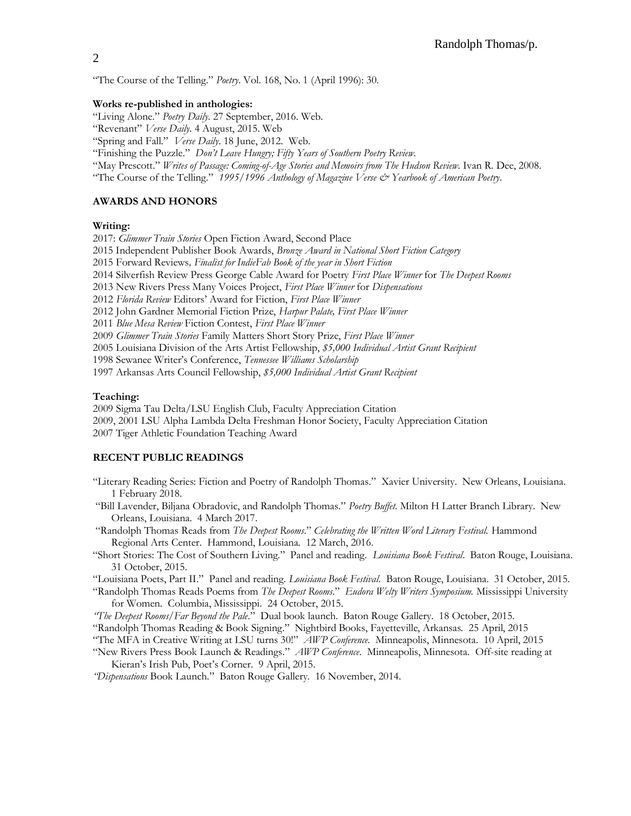"The Course of the Telling." *Poetry*. Vol. 168, No. 1 (April 1996): 30.

#### **Works re-published in anthologies:**

"Living Alone." *Poetry Daily*. 27 September, 2016. Web.

"Revenant" *Verse Daily*. 4 August, 2015. Web

"Spring and Fall." *Verse Daily*. 18 June, 2012. Web.

"Finishing the Puzzle." *Don't Leave Hungry; Fifty Years of Southern Poetry Review.* 

"May Prescott." *Writes of Passage: Coming-of-Age Stories and Memoirs from The Hudson Review*. Ivan R. Dee, 2008.

"The Course of the Telling." *1995/1996 Anthology of Magazine Verse & Yearbook of American Poetry*.

## **AWARDS AND HONORS**

## **Writing:**

2017: *Glimmer Train Stories* Open Fiction Award, Second Place 2015 Independent Publisher Book Awards, *Bronze Award in National Short Fiction Category* 2015 Forward Reviews*, Finalist for IndieFab Book of the year in Short Fiction*  2014 Silverfish Review Press George Cable Award for Poetry *First Place Winner* for *The Deepest Rooms* 2013 New Rivers Press Many Voices Project, *First Place Winner* for *Dispensations* 2012 *Florida Review* Editors' Award for Fiction, *First Place Winner* 2012 John Gardner Memorial Fiction Prize, *Harpur Palate, First Place Winner* 2011 *Blue Mesa Review* Fiction Contest, *First Place Winner* 2009 *Glimmer Train Stories* Family Matters Short Story Prize, *First Place Winner* 2005 Louisiana Division of the Arts Artist Fellowship, *\$5,000 Individual Artist Grant Recipient* 1998 Sewanee Writer's Conference, *Tennessee Williams Scholarship*

1997 Arkansas Arts Council Fellowship, *\$5,000 Individual Artist Grant Recipient*

### **Teaching:**

2009 Sigma Tau Delta/LSU English Club, Faculty Appreciation Citation 2009, 2001 LSU Alpha Lambda Delta Freshman Honor Society, Faculty Appreciation Citation 2007 Tiger Athletic Foundation Teaching Award

### **RECENT PUBLIC READINGS**

- "Literary Reading Series: Fiction and Poetry of Randolph Thomas." Xavier University. New Orleans, Louisiana. 1 February 2018.
- "Bill Lavender, Biljana Obradovic, and Randolph Thomas." *Poetry Buffet*. Milton H Latter Branch Library. New Orleans, Louisiana. 4 March 2017.

"Randolph Thomas Reads from *The Deepest Rooms*." *Celebrating the Written Word Literary Festival.* Hammond Regional Arts Center. Hammond, Louisiana. 12 March, 2016.

"Short Stories: The Cost of Southern Living." Panel and reading. *Louisiana Book Festival*. Baton Rouge, Louisiana. 31 October, 2015.

"Louisiana Poets, Part II." Panel and reading. *Louisiana Book Festival*. Baton Rouge, Louisiana. 31 October, 2015.

"Randolph Thomas Reads Poems from *The Deepest Rooms*." *Eudora Welty Writers Symposium.* Mississippi University for Women. Columbia, Mississippi. 24 October, 2015.

*"The Deepest Rooms/Far Beyond the Pale*." Dual book launch. Baton Rouge Gallery. 18 October, 2015.

"Randolph Thomas Reading & Book Signing." Nightbird Books, Fayetteville, Arkansas. 25 April, 2015

"The MFA in Creative Writing at LSU turns 30!" *AWP Conference.* Minneapolis, Minnesota. 10 April, 2015

"New Rivers Press Book Launch & Readings." *AWP Conference*. Minneapolis, Minnesota. Off-site reading at Kieran's Irish Pub, Poet's Corner. 9 April, 2015.

*"Dispensations* Book Launch." Baton Rouge Gallery. 16 November, 2014.